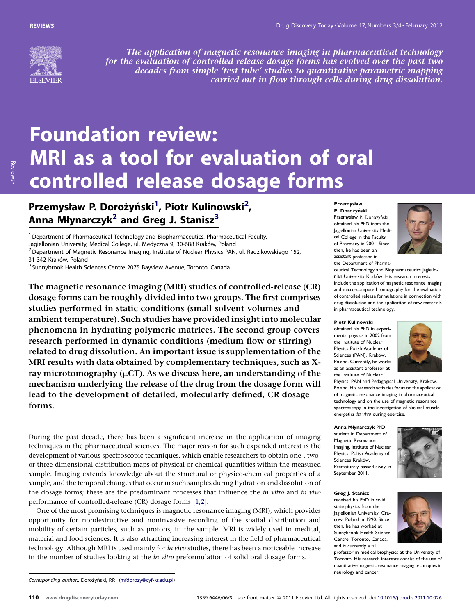#### REVIEWS **EXECUTE DESCRIPTION OF A REVIEWS** Drug Discovery Today - Volume 17, Numbers 3/4 - February 2012





The application of magnetic resonance imaging in pharmaceutical technology for the evaluation of controlled release dosage forms has evolved over the past two decades from simple 'test tube' studies to quantitative parametric mapping carried out in flow through cells during drug dissolution.

# Foundation review: MRI as a tool for evaluation of oral controlled release dosage forms

## Przemysław P. Dorożyński<sup>1</sup>, Piotr Kulinowski<sup>2</sup>, Anna Młynarczyk<sup>2</sup> and Greg J. Stanisz<sup>3</sup>

 $1$  Department of Pharmaceutical Technology and Biopharmaceutics, Pharmaceutical Faculty,

Jagiellonian University, Medical College, ul. Medyczna 9, 30-688 Kraków, Poland<br><sup>2</sup> Department of Magnetic Resonance Imaging, Institute of Nuclear Physics PAN, ul. Radzikowskiego 152,

31-342 Kraków, Poland<br><sup>3</sup> Sunnybrook Health Sciences Centre 2075 Bayview Avenue, Toronto, Canada

The magnetic resonance imaging (MRI) studies of controlled-release (CR) dosage forms can be roughly divided into two groups. The first comprises studies performed in static conditions (small solvent volumes and ambient temperature). Such studies have provided insight into molecular phenomena in hydrating polymeric matrices. The second group covers research performed in dynamic conditions (medium flow or stirring) related to drug dissolution. An important issue is supplementation of the MRI results with data obtained by complementary techniques, such as Xray microtomography ( $\mu$ CT). As we discuss here, an understanding of the mechanism underlying the release of the drug from the dosage form will lead to the development of detailed, molecularly defined, CR dosage forms.

During the past decade, there has been a significant increase in the application of imaging techniques in the pharmaceutical sciences. The major reason for such expanded interest is the development of various spectroscopic techniques, which enable researchers to obtain one-, twoor three-dimensional distribution maps of physical or chemical quantities within the measured sample. Imaging extends knowledge about the structural or physico-chemical properties of a sample, and the temporal changes that occur in such samples during hydration and dissolution of the dosage forms; these are the predominant processes that influence the *in vitro* and *in vivo* performance of controlled-release (CR) dosage forms [\[1,2\].](#page-12-0)

One of the most promising techniques is magnetic resonance imaging (MRI), which provides opportunity for nondestructive and noninvasive recording of the spatial distribution and mobility of certain particles, such as protons, in the sample. MRI is widely used in medical, material and food sciences. It is also attracting increasing interest in the field of pharmaceutical technology. Although MRI is used mainly for in vivo studies, there has been a noticeable increase in the number of studies looking at the in vitro preformulation of solid oral dosage forms.

#### Przemysław

P. Dorożyński Przemysław P. Dorożyński obtained his PhD from the Jagiellonian University Medical College in the Faculty of Pharmacy in 2001. Since then, he has been an assistant professor in the Department of Pharma-



ceutical Technology and Biopharmaceutics Jagiellonian University Kraków. His research interests include the application of magnetic resonance imaging and micro-computed tomography for the evaluation of controlled release formulations in connection with drug dissolution and the application of new materials in pharmaceutical technology.

#### Piotr Kulinowski

obtained his PhD in experimental physics in 2002 from the Institute of Nuclear Physics Polish Academy of Sciences (PAN), Krakow, Poland. Currently, he works as an assistant professor at the Institute of Nuclear



Physics, PAN and Pedagogical University, Krakow, Poland. His research activities focus on the application of magnetic resonance imaging in pharmaceutical technology and on the use of magnetic resonance spectroscopy in the investigation of skeletal muscle energetics in vivo during exercise.

#### Anna Młynarczyk PhD

student in Department of Magnetic Resonance Imaging, Institute of Nuclear Physics, Polish Academy of Sciences Kraków. Prematurely passed away in September 2011.



#### Greg J. Stanisz

received his PhD in solid state physics from the Jagiellonian University, Cracow, Poland in 1990. Since then, he has worked at Sunnybrook Health Science Centre, Toronto, Canada, and is currently a full



professor in medical biophysics at the University of Toronto. His research interests consist of the use of quantitative magnetic resonance imaging techniques in neurology and cancer.

Corresponding author:. Dorożyński, P.P. [\(mfdorozy@cyf-kr.edu.pl\)](mailto:mfdorozy@cyf-kr.edu.pl)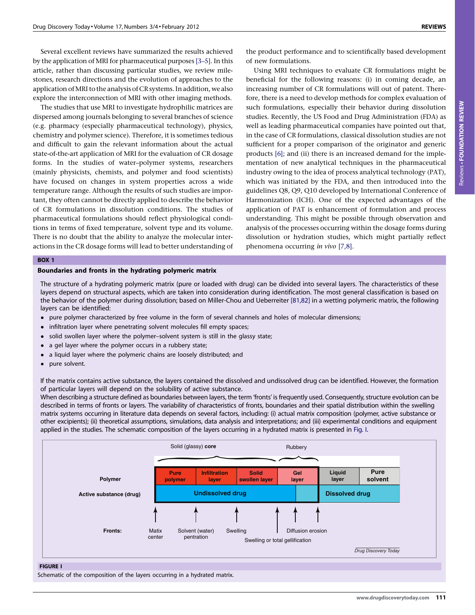<span id="page-1-0"></span>Several excellent reviews have summarized the results achieved by the application of MRI for pharmaceutical purposes [\[3–5\].](#page-12-0) In this article, rather than discussing particular studies, we review milestones, research directions and the evolution of approaches to the application of MRI to the analysis of CR systems. In addition, we also explore the interconnection of MRI with other imaging methods.

The studies that use MRI to investigate hydrophilic matrices are dispersed among journals belonging to several branches of science (e.g. pharmacy (especially pharmaceutical technology), physics, chemistry and polymer science). Therefore, it is sometimes tedious and difficult to gain the relevant information about the actual state-of-the-art application of MRI for the evaluation of CR dosage forms. In the studies of water–polymer systems, researchers (mainly physicists, chemists, and polymer and food scientists) have focused on changes in system properties across a wide temperature range. Although the results of such studies are important, they often cannot be directly applied to describe the behavior of CR formulations in dissolution conditions. The studies of pharmaceutical formulations should reflect physiological conditions in terms of fixed temperature, solvent type and its volume. There is no doubt that the ability to analyze the molecular interactions in the CR dosage forms will lead to better understanding of the product performance and to scientifically based development of new formulations.

Using MRI techniques to evaluate CR formulations might be beneficial for the following reasons: (i) in coming decade, an increasing number of CR formulations will out of patent. Therefore, there is a need to develop methods for complex evaluation of such formulations, especially their behavior during dissolution studies. Recently, the US Food and Drug Administration (FDA) as well as leading pharmaceutical companies have pointed out that, in the case of CR formulations, classical dissolution studies are not sufficient for a proper comparison of the originator and generic products [\[6\]](#page-12-0); and (ii) there is an increased demand for the implementation of new analytical techniques in the pharmaceutical industry owing to the idea of process analytical technology (PAT), which was initiated by the FDA, and then introduced into the guidelines Q8, Q9, Q10 developed by International Conference of Harmonization (ICH). One of the expected advantages of the application of PAT is enhancement of formulation and process understanding. This might be possible through observation and analysis of the processes occurring within the dosage forms during dissolution or hydration studies, which might partially reflect phenomena occurring in vivo [\[7,8\]](#page-12-0).

#### BOX 1

#### Boundaries and fronts in the hydrating polymeric matrix

The structure of a hydrating polymeric matrix (pure or loaded with drug) can be divided into several layers. The characteristics of these layers depend on structural aspects, which are taken into consideration during identification. The most general classification is based on the behavior of the polymer during dissolution; based on Miller-Chou and Ueberreiter [\[81,82\]](#page-13-0) in a wetting polymeric matrix, the following layers can be identified:

- pure polymer characterized by free volume in the form of several channels and holes of molecular dimensions;
- infiltration layer where penetrating solvent molecules fill empty spaces;
- solid swollen layer where the polymer–solvent system is still in the glassy state;
- a gel layer where the polymer occurs in a rubbery state;
- a liquid layer where the polymeric chains are loosely distributed; and
- pure solvent.

If the matrix contains active substance, the layers contained the dissolved and undissolved drug can be identified. However, the formation of particular layers will depend on the solubility of active substance.

When describing a structure defined as boundaries between layers, the term 'fronts' is frequently used. Consequently, structure evolution can be described in terms of fronts or layers. The variability of characteristics of fronts, boundaries and their spatial distribution within the swelling matrix systems occurring in literature data depends on several factors, including: (i) actual matrix composition (polymer, active substance or other excipients); (ii) theoretical assumptions, simulations, data analysis and interpretations; and (iii) experimental conditions and equipment applied in the studies. The schematic composition of the layers occurring in a hydrated matrix is presented in Fig. I.



Schematic of the composition of the layers occurring in a hydrated matrix.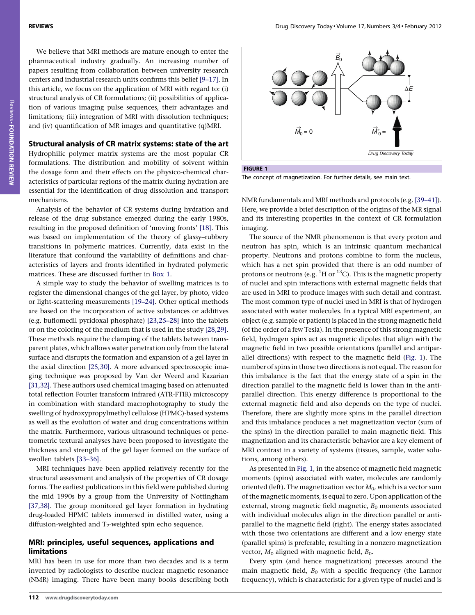<span id="page-2-0"></span>We believe that MRI methods are mature enough to enter the pharmaceutical industry gradually. An increasing number of papers resulting from collaboration between university research centers and industrial research units confirms this belief [\[9–17\].](#page-12-0) In this article, we focus on the application of MRI with regard to: (i) structural analysis of CR formulations; (ii) possibilities of application of various imaging pulse sequences, their advantages and limitations; (iii) integration of MRI with dissolution techniques; and (iv) quantification of MR images and quantitative (q)MRI.

#### Structural analysis of CR matrix systems: state of the art

Hydrophilic polymer matrix systems are the most popular CR formulations. The distribution and mobility of solvent within the dosage form and their effects on the physico-chemical characteristics of particular regions of the matrix during hydration are essential for the identification of drug dissolution and transport mechanisms.

Analysis of the behavior of CR systems during hydration and release of the drug substance emerged during the early 1980s, resulting in the proposed definition of 'moving fronts' [\[18\].](#page-12-0) This was based on implementation of the theory of glassy–rubbery transitions in polymeric matrices. Currently, data exist in the literature that confound the variability of definitions and characteristics of layers and fronts identified in hydrated polymeric matrices. These are discussed further in [Box](#page-1-0) 1.

A simple way to study the behavior of swelling matrices is to register the dimensional changes of the gel layer, by photo, video or light-scattering measurements [\[19–24\].](#page-12-0) Other optical methods are based on the incorporation of active substances or additives (e.g. buflomedil pyridoxal phosphate) [\[23,25–28\]](#page-12-0) into the tablets or on the coloring of the medium that is used in the study [\[28,29\]](#page-12-0). These methods require the clamping of the tablets between transparent plates, which allows water penetration only from the lateral surface and disrupts the formation and expansion of a gel layer in the axial direction [\[25,30\].](#page-12-0) A more advanced spectroscopic imaging technique was proposed by Van der Weerd and Kazarian [\[31,32\]](#page-12-0). These authors used chemical imaging based on attenuated total reflection Fourier transform infrared (ATR-FTIR) microscopy in combination with standard macrophotography to study the swelling of hydroxypropylmethyl cellulose (HPMC)-based systems as well as the evolution of water and drug concentrations within the matrix. Furthermore, various ultrasound techniques or penetrometric textural analyses have been proposed to investigate the thickness and strength of the gel layer formed on the surface of swollen tablets [\[33–36\]](#page-12-0).

MRI techniques have been applied relatively recently for the structural assessment and analysis of the properties of CR dosage forms. The earliest publications in this field were published during the mid 1990s by a group from the University of Nottingham [\[37,38\]](#page-12-0). The group monitored gel layer formation in hydrating drug-loaded HPMC tablets immersed in distilled water, using a diffusion-weighted and  $T_2$ -weighted spin echo sequence.

#### MRI: principles, useful sequences, applications and limitations

MRI has been in use for more than two decades and is a term invented by radiologists to describe nuclear magnetic resonance (NMR) imaging. There have been many books describing both



FIGURE 1

The concept of magnetization. For further details, see main text.

NMR fundamentals and MRI methods and protocols (e.g. [\[39–41\]](#page-12-0)). Here, we provide a brief description of the origins of the MR signal and its interesting properties in the context of CR formulation imaging.

The source of the NMR phenomenon is that every proton and neutron has spin, which is an intrinsic quantum mechanical property. Neutrons and protons combine to form the nucleus, which has a net spin provided that there is an odd number of protons or neutrons (e.g.  $\rm{^{1}H}$  or  $\rm{^{13}C}$ ). This is the magnetic property of nuclei and spin interactions with external magnetic fields that are used in MRI to produce images with such detail and contrast. The most common type of nuclei used in MRI is that of hydrogen associated with water molecules. In a typical MRI experiment, an object (e.g. sample or patient) is placed in the strong magnetic field (of the order of a few Tesla). In the presence of this strong magnetic field, hydrogen spins act as magnetic dipoles that align with the magnetic field in two possible orientations (parallel and antiparallel directions) with respect to the magnetic field (Fig. 1). The number of spins in those two directions is not equal. The reason for this imbalance is the fact that the energy state of a spin in the direction parallel to the magnetic field is lower than in the antiparallel direction. This energy difference is proportional to the external magnetic field and also depends on the type of nuclei. Therefore, there are slightly more spins in the parallel direction and this imbalance produces a net magnetization vector (sum of the spins) in the direction parallel to main magnetic field. This magnetization and its characteristic behavior are a key element of MRI contrast in a variety of systems (tissues, sample, water solutions, among others).

As presented in Fig. 1, in the absence of magnetic field magnetic moments (spins) associated with water, molecules are randomly oriented (left). The magnetization vector  $M_0$ , which is a vector sum of the magnetic moments, is equal to zero. Upon application of the external, strong magnetic field magnetic,  $B_0$  moments associated with individual molecules align in the direction parallel or antiparallel to the magnetic field (right). The energy states associated with those two orientations are different and a low energy state (parallel spins) is preferable, resulting in a nonzero magnetization vector,  $M_0$  aligned with magnetic field,  $B_0$ .

Every spin (and hence magnetization) precesses around the main magnetic field,  $B_0$  with a specific frequency (the Larmor frequency), which is characteristic for a given type of nuclei and is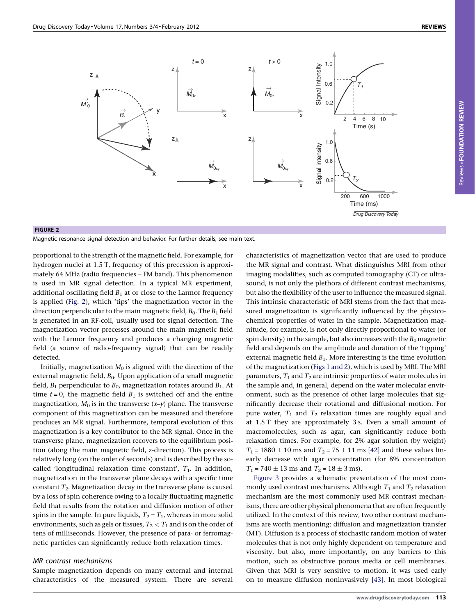Reviews -

FOUNDATION REVIEW

Reviews . FOUNDATION REVIEW



#### FIGURE 2

Magnetic resonance signal detection and behavior. For further details, see main text.

proportional to the strength of the magnetic field. For example, for hydrogen nuclei at 1.5 T, frequency of this precession is approximately 64 MHz (radio frequencies – FM band). This phenomenon is used in MR signal detection. In a typical MR experiment, additional oscillating field  $B_1$  at or close to the Larmor frequency is applied (Fig. 2), which 'tips' the magnetization vector in the direction perpendicular to the main magnetic field,  $B_0$ . The  $B_1$  field is generated in an RF-coil, usually used for signal detection. The magnetization vector precesses around the main magnetic field with the Larmor frequency and produces a changing magnetic field (a source of radio-frequency signal) that can be readily detected.

Initially, magnetization  $M_0$  is aligned with the direction of the external magnetic field,  $B_0$ . Upon application of a small magnetic field,  $B_1$  perpendicular to  $B_0$ , magnetization rotates around  $B_1$ . At time  $t = 0$ , the magnetic field  $B_1$  is switched off and the entire magnetization,  $M_0$  is in the transverse  $(x-y)$  plane. The transverse component of this magnetization can be measured and therefore produces an MR signal. Furthermore, temporal evolution of this magnetization is a key contributor to the MR signal. Once in the transverse plane, magnetization recovers to the equilibrium position (along the main magnetic field, z-direction). This process is relatively long (on the order of seconds) and is described by the socalled 'longitudinal relaxation time constant',  $T_1$ . In addition, magnetization in the transverse plane decays with a specific time constant  $T_2$ . Magnetization decay in the transverse plane is caused by a loss of spin coherence owing to a locally fluctuating magnetic field that results from the rotation and diffusion motion of other spins in the sample. In pure liquids,  $T_2 = T_1$ , whereas in more solid environments, such as gels or tissues,  $T_2 < T_1$  and is on the order of tens of milliseconds. However, the presence of para- or ferromagnetic particles can significantly reduce both relaxation times.

#### MR contrast mechanisms

Sample magnetization depends on many external and internal characteristics of the measured system. There are several

characteristics of magnetization vector that are used to produce the MR signal and contrast. What distinguishes MRI from other imaging modalities, such as computed tomography (CT) or ultrasound, is not only the plethora of different contrast mechanisms, but also the flexibility of the user to influence the measured signal. This intrinsic characteristic of MRI stems from the fact that measured magnetization is significantly influenced by the physicochemical properties of water in the sample. Magnetization magnitude, for example, is not only directly proportional to water (or spin density) in the sample, but also increases with the  $B_0$  magnetic field and depends on the amplitude and duration of the 'tipping' external magnetic field  $B_1$ . More interesting is the time evolution of the magnetization (Figs 1 [and](#page-2-0) 2), which is used by MRI. The MRI parameters,  $T_1$  and  $T_2$  are intrinsic properties of water molecules in the sample and, in general, depend on the water molecular environment, such as the presence of other large molecules that significantly decrease their rotational and diffusional motion. For pure water,  $T_1$  and  $T_2$  relaxation times are roughly equal and at 1.5 T they are approximately 3 s. Even a small amount of macromolecules, such as agar, can significantly reduce both relaxation times. For example, for 2% agar solution (by weight)  $T_1 = 1880 \pm 10$  ms and  $T_2 = 75 \pm 11$  ms [\[42\]](#page-12-0) and these values linearly decrease with agar concentration (for 8% concentration  $T_1 = 740 \pm 13$  ms and  $T_2 = 18 \pm 3$  ms).

[Figure](#page-4-0) 3 provides a schematic presentation of the most commonly used contrast mechanisms. Although  $T_1$  and  $T_2$  relaxation mechanism are the most commonly used MR contrast mechanisms, there are other physical phenomena that are often frequently utilized. In the context of this review, two other contrast mechanisms are worth mentioning: diffusion and magnetization transfer (MT). Diffusion is a process of stochastic random motion of water molecules that is not only highly dependent on temperature and viscosity, but also, more importantly, on any barriers to this motion, such as obstructive porous media or cell membranes. Given that MRI is very sensitive to motion, it was used early on to measure diffusion noninvasively [\[43\].](#page-12-0) In most biological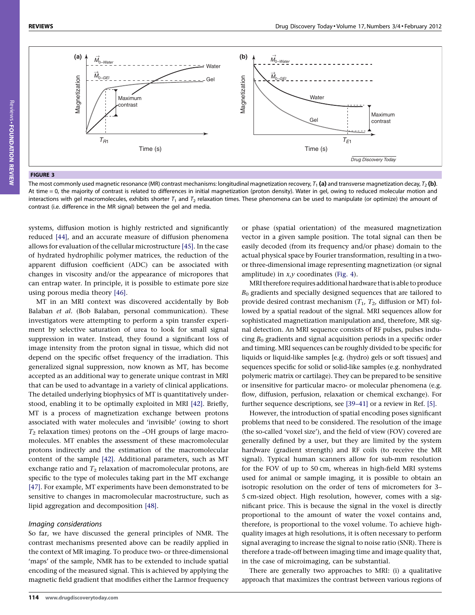

<span id="page-4-0"></span>

#### FIGURE 3

The most commonly used magnetic resonance (MR) contrast mechanisms: longitudinal magnetization recovery,  $T_1$  (a) and transverse magnetization decay,  $T_2$  (b). At time = 0, the majority of contrast is related to differences in initial magnetization (proton density). Water in gel, owing to reduced molecular motion and interactions with gel macromolecules, exhibits shorter  $T_1$  and  $T_2$  relaxation times. These phenomena can be used to manipulate (or optimize) the amount of contrast (i.e. difference in the MR signal) between the gel and media.

systems, diffusion motion is highly restricted and significantly reduced [\[44\],](#page-12-0) and an accurate measure of diffusion phenomena allows for evaluation of the cellular microstructure [\[45\].](#page-12-0) In the case of hydrated hydrophilic polymer matrices, the reduction of the apparent diffusion coefficient (ADC) can be associated with changes in viscosity and/or the appearance of micropores that can entrap water. In principle, it is possible to estimate pore size using porous media theory [\[46\]](#page-12-0).

MT in an MRI context was discovered accidentally by Bob Balaban et al. (Bob Balaban, personal communication). These investigators were attempting to perform a spin transfer experiment by selective saturation of urea to look for small signal suppression in water. Instead, they found a significant loss of image intensity from the proton signal in tissue, which did not depend on the specific offset frequency of the irradiation. This generalized signal suppression, now known as MT, has become accepted as an additional way to generate unique contrast in MRI that can be used to advantage in a variety of clinical applications. The detailed underlying biophysics of MT is quantitatively understood, enabling it to be optimally exploited in MRI [\[42\].](#page-12-0) Briefly, MT is a process of magnetization exchange between protons associated with water molecules and 'invisible' (owing to short  $T_2$  relaxation times) protons on the -OH groups of large macromolecules. MT enables the assessment of these macromolecular protons indirectly and the estimation of the macromolecular content of the sample [\[42\]](#page-12-0). Additional parameters, such as MT exchange ratio and  $T_2$  relaxation of macromolecular protons, are specific to the type of molecules taking part in the MT exchange [\[47\]](#page-12-0). For example, MT experiments have been demonstrated to be sensitive to changes in macromolecular macrostructure, such as lipid aggregation and decomposition [\[48\]](#page-12-0).

#### Imaging considerations

So far, we have discussed the general principles of NMR. The contrast mechanisms presented above can be readily applied in the context of MR imaging. To produce two- or three-dimensional 'maps' of the sample, NMR has to be extended to include spatial encoding of the measured signal. This is achieved by applying the magnetic field gradient that modifies either the Larmor frequency or phase (spatial orientation) of the measured magnetization vector in a given sample position. The total signal can then be easily decoded (from its frequency and/or phase) domain to the actual physical space by Fourier transformation, resulting in a twoor three-dimensional image representing magnetization (or signal amplitude) in  $x, y$  coordinates ([Fig.](#page-5-0) 4).

MRI therefore requires additional hardware that is able to produce  $B_0$  gradients and specially designed sequences that are tailored to provide desired contrast mechanism  $(T_1, T_2,$  diffusion or MT) followed by a spatial readout of the signal. MRI sequences allow for sophisticated magnetization manipulation and, therefore, MR signal detection. An MRI sequence consists of RF pulses, pulses inducing  $B_0$  gradients and signal acquisition periods in a specific order and timing. MRI sequences can be roughly divided to be specific for liquids or liquid-like samples [e.g. (hydro) gels or soft tissues] and sequences specific for solid or solid-like samples (e.g. nonhydrated polymeric matrix or cartilage). They can be prepared to be sensitive or insensitive for particular macro- or molecular phenomena (e.g. flow, diffusion, perfusion, relaxation or chemical exchange). For further sequence descriptions, see [\[39–41\]](#page-12-0) or a review in Ref. [\[5\]](#page-12-0).

However, the introduction of spatial encoding poses significant problems that need to be considered. The resolution of the image (the so-called 'voxel size'), and the field of view (FOV) covered are generally defined by a user, but they are limited by the system hardware (gradient strength) and RF coils (to receive the MR signal). Typical human scanners allow for sub-mm resolution for the FOV of up to 50 cm, whereas in high-field MRI systems used for animal or sample imaging, it is possible to obtain an isotropic resolution on the order of tens of micrometers for 3– 5 cm-sized object. High resolution, however, comes with a significant price. This is because the signal in the voxel is directly proportional to the amount of water the voxel contains and, therefore, is proportional to the voxel volume. To achieve highquality images at high resolutions, it is often necessary to perform signal averaging to increase the signal to noise ratio (SNR). There is therefore a trade-off between imaging time and image quality that, in the case of microimaging, can be substantial.

There are generally two approaches to MRI: (i) a qualitative approach that maximizes the contrast between various regions of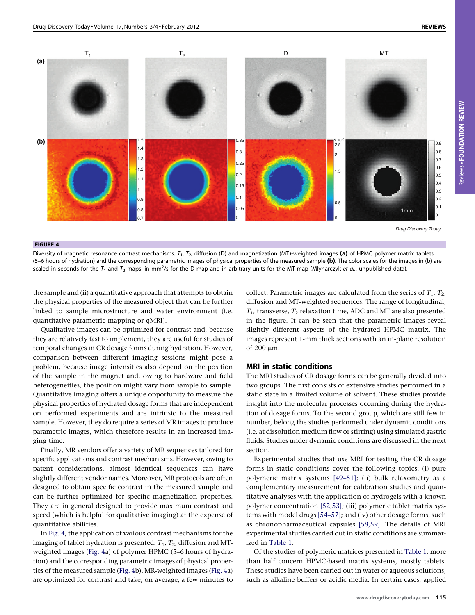<span id="page-5-0"></span>

FIGURE 4

Diversity of magnetic resonance contrast mechanisms.  $T_1$ ,  $T_2$ , diffusion (D) and magnetization (MT)-weighted images (a) of HPMC polymer matrix tablets (5-6 hours of hydration) and the corresponding parametric images of physical properties of the measured sample (b). The color scales for the images in (b) are scaled in seconds for the  $T_1$  and  $T_2$  maps; in mm<sup>2</sup>/s for the D map and in arbitrary units for the MT map (Młynarczyk *et al.*, unpublished data).

the sample and (ii) a quantitative approach that attempts to obtain the physical properties of the measured object that can be further linked to sample microstructure and water environment (i.e. quantitative parametric mapping or qMRI).

Qualitative images can be optimized for contrast and, because they are relatively fast to implement, they are useful for studies of temporal changes in CR dosage forms during hydration. However, comparison between different imaging sessions might pose a problem, because image intensities also depend on the position of the sample in the magnet and, owing to hardware and field heterogeneities, the position might vary from sample to sample. Quantitative imaging offers a unique opportunity to measure the physical properties of hydrated dosage forms that are independent on performed experiments and are intrinsic to the measured sample. However, they do require a series of MR images to produce parametric images, which therefore results in an increased imaging time.

Finally, MR vendors offer a variety of MR sequences tailored for specific applications and contrast mechanisms. However, owing to patent considerations, almost identical sequences can have slightly different vendor names. Moreover, MR protocols are often designed to obtain specific contrast in the measured sample and can be further optimized for specific magnetization properties. They are in general designed to provide maximum contrast and speed (which is helpful for qualitative imaging) at the expense of quantitative abilities.

In Fig. 4, the application of various contrast mechanisms for the imaging of tablet hydration is presented:  $T_1$ ,  $T_2$ , diffusion and MTweighted images (Fig. 4a) of polymer HPMC (5–6 hours of hydration) and the corresponding parametric images of physical properties of the measured sample (Fig. 4b). MR-weighted images (Fig. 4a) are optimized for contrast and take, on average, a few minutes to

collect. Parametric images are calculated from the series of  $T_1$ ,  $T_2$ , diffusion and MT-weighted sequences. The range of longitudinal,  $T_1$ , transverse,  $T_2$  relaxation time, ADC and MT are also presented in the figure. It can be seen that the parametric images reveal slightly different aspects of the hydrated HPMC matrix. The images represent 1-mm thick sections with an in-plane resolution of  $200 \mu m$ .

#### MRI in static conditions

The MRI studies of CR dosage forms can be generally divided into two groups. The first consists of extensive studies performed in a static state in a limited volume of solvent. These studies provide insight into the molecular processes occurring during the hydration of dosage forms. To the second group, which are still few in number, belong the studies performed under dynamic conditions (i.e. at dissolution medium flow or stirring) using simulated gastric fluids. Studies under dynamic conditions are discussed in the next section.

Experimental studies that use MRI for testing the CR dosage forms in static conditions cover the following topics: (i) pure polymeric matrix systems [\[49–51\];](#page-12-0) (ii) bulk relaxometry as a complementary measurement for calibration studies and quantitative analyses with the application of hydrogels with a known polymer concentration [\[52,53\]](#page-13-0); (iii) polymeric tablet matrix systems with model drugs [\[54–57\];](#page-13-0) and (iv) other dosage forms, such as chronopharmaceutical capsules [\[58,59\].](#page-13-0) The details of MRI experimental studies carried out in static conditions are summarized in [Table](#page-6-0) 1.

Of the studies of polymeric matrices presented in [Table](#page-6-0) 1, more than half concern HPMC-based matrix systems, mostly tablets. These studies have been carried out in water or aqueous solutions, such as alkaline buffers or acidic media. In certain cases, applied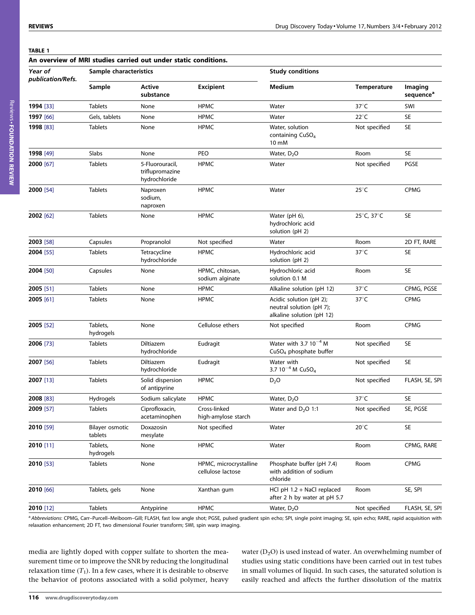## <span id="page-6-0"></span>TABLE 1

|                              |                               | An overview of MRI studies carried out under static conditions. |                                             |                                                                                  |                |                                  |  |
|------------------------------|-------------------------------|-----------------------------------------------------------------|---------------------------------------------|----------------------------------------------------------------------------------|----------------|----------------------------------|--|
| Year of<br>publication/Refs. | <b>Sample characteristics</b> |                                                                 |                                             | <b>Study conditions</b>                                                          |                |                                  |  |
|                              | Sample                        | <b>Active</b><br>substance                                      | <b>Excipient</b>                            | <b>Medium</b>                                                                    | Temperature    | Imaging<br>sequence <sup>a</sup> |  |
| 1994 [33]                    | <b>Tablets</b>                | None                                                            | <b>HPMC</b>                                 | Water                                                                            | $37^{\circ}$ C | SWI                              |  |
| 1997 [66]                    | Gels, tablets                 | None                                                            | <b>HPMC</b>                                 | Water                                                                            | $22^{\circ}$ C | <b>SE</b>                        |  |
| 1998 [83]                    | <b>Tablets</b>                | None                                                            | <b>HPMC</b>                                 | Water, solution<br>containing CuSO <sub>4</sub><br>10 mM                         | Not specified  | SE                               |  |
| 1998 [49]                    | Slabs                         | None                                                            | PEO                                         | Water, $D_2O$                                                                    | Room           | <b>SE</b>                        |  |
| 2000 [67]                    | <b>Tablets</b>                | 5-Fluorouracil,<br>triflupromazine<br>hydrochloride             | <b>HPMC</b>                                 | Water                                                                            | Not specified  | PGSE                             |  |
| 2000 [54]                    | <b>Tablets</b>                | Naproxen<br>sodium,<br>naproxen                                 | <b>HPMC</b>                                 | Water                                                                            | $25^{\circ}$ C | <b>CPMG</b>                      |  |
| 2002 [62]                    | <b>Tablets</b>                | None                                                            | <b>HPMC</b>                                 | Water (pH 6),<br>hydrochloric acid<br>solution (pH 2)                            | 25°C, 37°C     | <b>SE</b>                        |  |
| 2003 [58]                    | Capsules                      | Propranolol                                                     | Not specified                               | Water                                                                            | Room           | 2D FT, RARE                      |  |
| 2004 [55]                    | <b>Tablets</b>                | Tetracycline<br>hydrochloride                                   | <b>HPMC</b>                                 | Hydrochloric acid<br>solution (pH 2)                                             | $37^{\circ}$ C | <b>SE</b>                        |  |
| 2004 [50]                    | Capsules                      | None                                                            | HPMC, chitosan,<br>sodium alginate          | Hydrochloric acid<br>solution 0.1 M                                              | Room           | <b>SE</b>                        |  |
| 2005 [51]                    | <b>Tablets</b>                | None                                                            | <b>HPMC</b>                                 | Alkaline solution (pH 12)                                                        | $37^{\circ}$ C | CPMG, PGSE                       |  |
| 2005 [61]                    | <b>Tablets</b>                | None                                                            | <b>HPMC</b>                                 | Acidic solution (pH 2);<br>neutral solution (pH 7);<br>alkaline solution (pH 12) | $37^{\circ}$ C | <b>CPMG</b>                      |  |
| 2005 [52]                    | Tablets,<br>hydrogels         | None                                                            | Cellulose ethers                            | Not specified                                                                    | Room           | <b>CPMG</b>                      |  |
| 2006 [73]                    | <b>Tablets</b>                | Diltiazem<br>hydrochloride                                      | Eudragit                                    | Water with 3.7 $10^{-4}$ M<br>$CuSO4$ phosphate buffer                           | Not specified  | <b>SE</b>                        |  |
| 2007 [56]                    | <b>Tablets</b>                | Diltiazem<br>hydrochloride                                      | Eudragit                                    | Water with<br>3.7 $10^{-4}$ M CuSO <sub>4</sub>                                  | Not specified  | SE                               |  |
| 2007 [13]                    | <b>Tablets</b>                | Solid dispersion<br>of antipyrine                               | <b>HPMC</b>                                 | $D_2O$                                                                           | Not specified  | FLASH, SE, SPI                   |  |
| 2008 [83]                    | Hydrogels                     | Sodium salicylate                                               | <b>HPMC</b>                                 | Water, $D_2O$                                                                    | $37^{\circ}$ C | <b>SE</b>                        |  |
| 2009 [57]                    | <b>Tablets</b>                | Ciprofloxacin,<br>acetaminophen                                 | Cross-linked<br>high-amylose starch         | Water and $D_2O$ 1:1                                                             | Not specified  | SE, PGSE                         |  |
| 2010 [59]                    | Bilayer osmotic<br>tablets    | Doxazosin<br>mesylate                                           | Not specified                               | Water                                                                            | $20^{\circ}$ C | <b>SE</b>                        |  |
| 2010 [11]                    | Tablets,<br>hydrogels         | None                                                            | <b>HPMC</b>                                 | Water                                                                            | Room           | CPMG, RARE                       |  |
| 2010 [53]                    | <b>Tablets</b>                | None                                                            | HPMC, microcrystalline<br>cellulose lactose | Phosphate buffer (pH 7.4)<br>with addition of sodium<br>chloride                 | Room           | CPMG                             |  |
| 2010 [66]                    | Tablets, gels                 | None                                                            | Xanthan gum                                 | HCl pH 1.2 + NaCl replaced<br>after 2 h by water at pH 5.7                       | Room           | SE, SPI                          |  |
| 2010 [12]                    | <b>Tablets</b>                | Antypirine                                                      | <b>HPMC</b>                                 | Water, D <sub>2</sub> O                                                          | Not specified  | FLASH, SE, SPI                   |  |

a Abbreviations: CPMG, Carr–Purcell–Meiboom–Gill; FLASH, fast low angle shot; PGSE, pulsed gradient spin echo; SPI, single point imaging; SE, spin echo; RARE, rapid acquisition with relaxation enhancement; 2D FT, two dimensional Fourier transform; SWI, spin warp imaging.

media are lightly doped with copper sulfate to shorten the measurement time or to improve the SNR by reducing the longitudinal relaxation time  $(T_1)$ . In a few cases, where it is desirable to observe the behavior of protons associated with a solid polymer, heavy water  $(D_2O)$  is used instead of water. An overwhelming number of studies using static conditions have been carried out in test tubes in small volumes of liquid. In such cases, the saturated solution is easily reached and affects the further dissolution of the matrix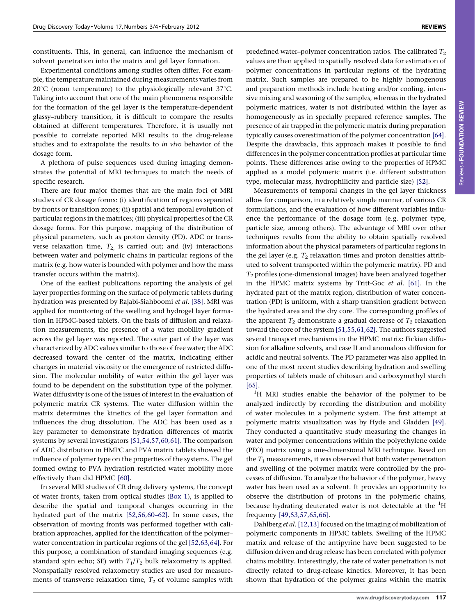constituents. This, in general, can influence the mechanism of solvent penetration into the matrix and gel layer formation.

Experimental conditions among studies often differ. For example, the temperature maintained during measurements varies from  $20^{\circ}$ C (room temperature) to the physiologically relevant 37 $^{\circ}$ C. Taking into account that one of the main phenomena responsible for the formation of the gel layer is the temperature-dependent glassy–rubbery transition, it is difficult to compare the results obtained at different temperatures. Therefore, it is usually not possible to correlate reported MRI results to the drug-release studies and to extrapolate the results to in vivo behavior of the dosage form.

A plethora of pulse sequences used during imaging demonstrates the potential of MRI techniques to match the needs of specific research.

There are four major themes that are the main foci of MRI studies of CR dosage forms: (i) identification of regions separated by fronts or transition zones; (ii) spatial and temporal evolution of particular regions in the matrices; (iii) physical properties of the CR dosage forms. For this purpose, mapping of the distribution of physical parameters, such as proton density (PD), ADC or transverse relaxation time,  $T_{2}$  is carried out; and (iv) interactions between water and polymeric chains in particular regions of the matrix (e.g. how water is bounded with polymer and how the mass transfer occurs within the matrix).

One of the earliest publications reporting the analysis of gel layer properties forming on the surface of polymeric tablets during hydration was presented by Rajabi-Siahboomi et al. [\[38\]](#page-12-0). MRI was applied for monitoring of the swelling and hydrogel layer formation in HPMC-based tablets. On the basis of diffusion and relaxation measurements, the presence of a water mobility gradient across the gel layer was reported. The outer part of the layer was characterized by ADC values similar to those of free water; the ADC decreased toward the center of the matrix, indicating either changes in material viscosity or the emergence of restricted diffusion. The molecular mobility of water within the gel layer was found to be dependent on the substitution type of the polymer. Water diffusivity is one of the issues of interest in the evaluation of polymeric matrix CR systems. The water diffusion within the matrix determines the kinetics of the gel layer formation and influences the drug dissolution. The ADC has been used as a key parameter to demonstrate hydration differences of matrix systems by several investigators [\[51,54,57,60,61\]](#page-13-0). The comparison of ADC distribution in HMPC and PVA matrix tablets showed the influence of polymer type on the properties of the systems. The gel formed owing to PVA hydration restricted water mobility more effectively than did HPMC [\[60\]](#page-13-0).

In several MRI studies of CR drug delivery systems, the concept of water fronts, taken from optical studies ([Box](#page-1-0) 1), is applied to describe the spatial and temporal changes occurring in the hydrated part of the matrix [\[52,56,60–62\]](#page-13-0). In some cases, the observation of moving fronts was performed together with calibration approaches, applied for the identification of the polymer– water concentration in particular regions of the gel [\[52,63,64\]](#page-13-0). For this purpose, a combination of standard imaging sequences (e.g. standard spin echo; SE) with  $T_1/T_2$  bulk relaxometry is applied. Nonspatially resolved relaxometry studies are used for measurements of transverse relaxation time,  $T_2$  of volume samples with

predefined water–polymer concentration ratios. The calibrated  $T_2$ values are then applied to spatially resolved data for estimation of polymer concentrations in particular regions of the hydrating matrix. Such samples are prepared to be highly homogenous and preparation methods include heating and/or cooling, intensive mixing and seasoning of the samples, whereas in the hydrated polymeric matrices, water is not distributed within the layer as homogeneously as in specially prepared reference samples. The presence of air trapped in the polymeric matrix during preparation typically causes overestimation of the polymer concentration [\[64\].](#page-13-0) Despite the drawbacks, this approach makes it possible to find differences in the polymer concentration profiles at particular time points. These differences arise owing to the properties of HPMC applied as a model polymeric matrix (i.e. different substitution type, molecular mass, hydrophilicity and particle size) [\[52\]](#page-13-0).

Measurements of temporal changes in the gel layer thickness allow for comparison, in a relatively simple manner, of various CR formulations, and the evaluation of how different variables influence the performance of the dosage form (e.g. polymer type, particle size, among others). The advantage of MRI over other techniques results from the ability to obtain spatially resolved information about the physical parameters of particular regions in the gel layer (e.g.  $T_2$  relaxation times and proton densities attributed to solvent transported within the polymeric matrix). PD and  $T<sub>2</sub>$  profiles (one-dimensional images) have been analyzed together in the HPMC matrix systems by Tritt-Goc et al. [\[61\].](#page-13-0) In the hydrated part of the matrix region, distribution of water concentration (PD) is uniform, with a sharp transition gradient between the hydrated area and the dry core. The corresponding profiles of the apparent  $T_2$  demonstrate a gradual decrease of  $T_2$  relaxation toward the core of the system [\[51,55,61,62\].](#page-13-0) The authors suggested several transport mechanisms in the HPMC matrix: Fickian diffusion for alkaline solvents, and case II and anomalous diffusion for acidic and neutral solvents. The PD parameter was also applied in one of the most recent studies describing hydration and swelling properties of tablets made of chitosan and carboxymethyl starch [\[65\].](#page-13-0)

<sup>1</sup>H MRI studies enable the behavior of the polymer to be analyzed indirectly by recording the distribution and mobility of water molecules in a polymeric system. The first attempt at polymeric matrix visualization was by Hyde and Gladden [\[49\].](#page-12-0) They conducted a quantitative study measuring the changes in water and polymer concentrations within the polyethylene oxide (PEO) matrix using a one-dimensional MRI technique. Based on the  $T_1$  measurements, it was observed that both water penetration and swelling of the polymer matrix were controlled by the processes of diffusion. To analyze the behavior of the polymer, heavy water has been used as a solvent. It provides an opportunity to observe the distribution of protons in the polymeric chains, because hydrating deuterated water is not detectable at the <sup>1</sup>H frequency [\[49,53,57,65,66\].](#page-12-0)

Dahlberg et al. [\[12,13\]](#page-12-0) focused on the imaging of mobilization of polymeric components in HPMC tablets. Swelling of the HPMC matrix and release of the antipyrine have been suggested to be diffusion driven and drug release has been correlated with polymer chains mobility. Interestingly, the rate of water penetration is not directly related to drug-release kinetics. Moreover, it has been shown that hydration of the polymer grains within the matrix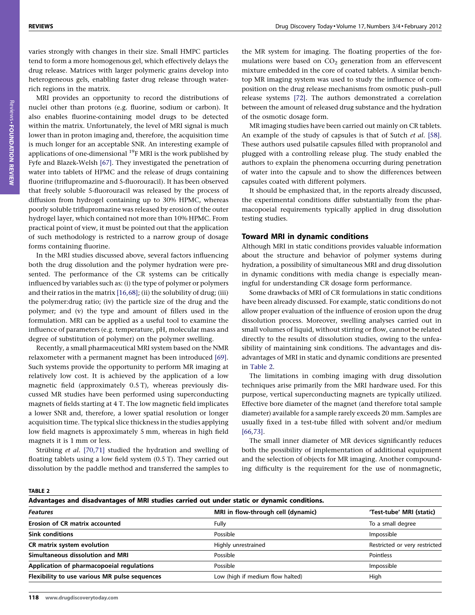varies strongly with changes in their size. Small HMPC particles tend to form a more homogenous gel, which effectively delays the drug release. Matrices with larger polymeric grains develop into heterogeneous gels, enabling faster drug release through waterrich regions in the matrix.

MRI provides an opportunity to record the distributions of nuclei other than protons (e.g. fluorine, sodium or carbon). It also enables fluorine-containing model drugs to be detected within the matrix. Unfortunately, the level of MRI signal is much lower than in proton imaging and, therefore, the acquisition time is much longer for an acceptable SNR. An interesting example of applications of one-dimensional  $^{19}$ F MRI is the work published by Fyfe and Blazek-Welsh [\[67\]](#page-13-0). They investigated the penetration of water into tablets of HPMC and the release of drugs containing fluorine (triflupromazine and 5-fluorouracil). It has been observed that freely soluble 5-fluorouracil was released by the process of diffusion from hydrogel containing up to 30% HPMC, whereas poorly soluble triflupromazine was released by erosion of the outer hydrogel layer, which contained not more than 10% HPMC. From practical point of view, it must be pointed out that the application of such methodology is restricted to a narrow group of dosage forms containing fluorine.

In the MRI studies discussed above, several factors influencing both the drug dissolution and the polymer hydration were presented. The performance of the CR systems can be critically influenced by variables such as: (i) the type of polymer or polymers and their ratios in the matrix [\[16,68\]](#page-12-0); (ii) the solubility of drug; (iii) the polymer:drug ratio; (iv) the particle size of the drug and the polymer; and (v) the type and amount of fillers used in the formulation. MRI can be applied as a useful tool to examine the influence of parameters (e.g. temperature, pH, molecular mass and degree of substitution of polymer) on the polymer swelling.

Recently, a small pharmaceutical MRI system based on the NMR relaxometer with a permanent magnet has been introduced [\[69\]](#page-13-0). Such systems provide the opportunity to perform MR imaging at relatively low cost. It is achieved by the application of a low magnetic field (approximately 0.5 T), whereas previously discussed MR studies have been performed using superconducting magnets of fields starting at 4 T. The low magnetic field implicates a lower SNR and, therefore, a lower spatial resolution or longer acquisition time. The typical slice thickness in the studies applying low field magnets is approximately 5 mm, whereas in high field magnets it is 1 mm or less.

Strübing et al. [\[70,71\]](#page-13-0) studied the hydration and swelling of floating tablets using a low field system (0.5 T). They carried out dissolution by the paddle method and transferred the samples to

the MR system for imaging. The floating properties of the formulations were based on  $CO<sub>2</sub>$  generation from an effervescent mixture embedded in the core of coated tablets. A similar benchtop MR imaging system was used to study the influence of composition on the drug release mechanisms from osmotic push–pull release systems [\[72\]](#page-13-0). The authors demonstrated a correlation between the amount of released drug substance and the hydration of the osmotic dosage form.

MR imaging studies have been carried out mainly on CR tablets. An example of the study of capsules is that of Sutch et al. [\[58\]](#page-13-0). These authors used pulsatile capsules filled with propranolol and plugged with a controlling release plug. The study enabled the authors to explain the phenomena occurring during penetration of water into the capsule and to show the differences between capsules coated with different polymers.

It should be emphasized that, in the reports already discussed, the experimental conditions differ substantially from the pharmacopoeial requirements typically applied in drug dissolution testing studies.

#### Toward MRI in dynamic conditions

Although MRI in static conditions provides valuable information about the structure and behavior of polymer systems during hydration, a possibility of simultaneous MRI and drug dissolution in dynamic conditions with media change is especially meaningful for understanding CR dosage form performance.

Some drawbacks of MRI of CR formulations in static conditions have been already discussed. For example, static conditions do not allow proper evaluation of the influence of erosion upon the drug dissolution process. Moreover, swelling analyses carried out in small volumes of liquid, without stirring or flow, cannot be related directly to the results of dissolution studies, owing to the unfeasibility of maintaining sink conditions. The advantages and disadvantages of MRI in static and dynamic conditions are presented in Table 2.

The limitations in combing imaging with drug dissolution techniques arise primarily from the MRI hardware used. For this purpose, vertical superconducting magnets are typically utilized. Effective bore diameter of the magnet (and therefore total sample diameter) available for a sample rarely exceeds 20 mm. Samples are usually fixed in a test-tube filled with solvent and/or medium [\[66,73\]](#page-13-0).

The small inner diameter of MR devices significantly reduces both the possibility of implementation of additional equipment and the selection of objects for MR imaging. Another compounding difficulty is the requirement for the use of nonmagnetic,

TABLE 2

| Advantages and disadvantages of MRI studies carried out under static or dynamic conditions. |                               |  |  |  |  |  |  |
|---------------------------------------------------------------------------------------------|-------------------------------|--|--|--|--|--|--|
| MRI in flow-through cell (dynamic)                                                          | 'Test-tube' MRI (static)      |  |  |  |  |  |  |
| Fully                                                                                       | To a small degree             |  |  |  |  |  |  |
| Possible                                                                                    | Impossible                    |  |  |  |  |  |  |
| Highly unrestrained                                                                         | Restricted or very restricted |  |  |  |  |  |  |
| Possible                                                                                    | Pointless                     |  |  |  |  |  |  |
| Possible                                                                                    | Impossible                    |  |  |  |  |  |  |
| Low (high if medium flow halted)                                                            | High                          |  |  |  |  |  |  |
|                                                                                             |                               |  |  |  |  |  |  |

Reviews -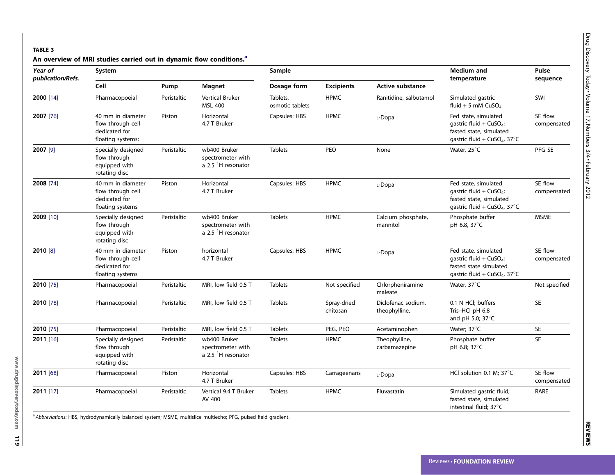<span id="page-9-0"></span>

| An overview of MRI studies carried out in dynamic flow conditions. <sup>a</sup> |                                                                              |             |                                                             |                             |                         |                                     |                                                                                                                          |                        |  |  |  |
|---------------------------------------------------------------------------------|------------------------------------------------------------------------------|-------------|-------------------------------------------------------------|-----------------------------|-------------------------|-------------------------------------|--------------------------------------------------------------------------------------------------------------------------|------------------------|--|--|--|
| Year of<br>publication/Refs.                                                    | <b>System</b>                                                                |             |                                                             | Sample                      |                         |                                     | <b>Medium</b> and<br>temperature                                                                                         | Pulse<br>sequence      |  |  |  |
|                                                                                 | Cell                                                                         | Pump        | Magnet                                                      | Dosage form                 | <b>Excipients</b>       | <b>Active substance</b>             |                                                                                                                          |                        |  |  |  |
| 2000 [14]                                                                       | Pharmacopoeial                                                               | Peristaltic | Vertical Bruker<br><b>MSL 400</b>                           | Tablets,<br>osmotic tablets | <b>HPMC</b>             | Ranitidine, salbutamol              | Simulated gastric<br>fluid + 5 mM $CuSO4$                                                                                | SWI                    |  |  |  |
| 2007 [76]                                                                       | 40 mm in diameter<br>flow through cell<br>dedicated for<br>floating systems; | Piston      | Horizontal<br>4.7 T Bruker                                  | Capsules: HBS               | <b>HPMC</b>             | L-Dopa                              | Fed state, simulated<br>qastric fluid + $CuSO4$ ;<br>fasted state, simulated<br>gastric fluid + CuSO <sub>4</sub> , 37°C | SE flow<br>compensated |  |  |  |
| 2007 [9]                                                                        | Specially designed<br>flow through<br>equipped with<br>rotating disc         | Peristaltic | wb400 Bruker<br>spectrometer with<br>a 2.5 $^1$ H resonator | <b>Tablets</b>              | PEO                     | None                                | Water, 25°C                                                                                                              | PFG SE                 |  |  |  |
| 2008 [74]                                                                       | 40 mm in diameter<br>flow through cell<br>dedicated for<br>floating systems  | Piston      | Horizontal<br>4.7 T Bruker                                  | Capsules: HBS               | <b>HPMC</b>             | L-Dopa                              | Fed state, simulated<br>qastric fluid + $CuSO4$ ;<br>fasted state, simulated<br>gastric fluid + CuSO <sub>4</sub> , 37°C | SE flow<br>compensated |  |  |  |
| 2009 [10]                                                                       | Specially designed<br>flow through<br>equipped with<br>rotating disc         | Peristaltic | wb400 Bruker<br>spectrometer with<br>a 2.5 $1H$ resonator   | <b>Tablets</b>              | <b>HPMC</b>             | Calcium phosphate,<br>mannitol      | Phosphate buffer<br>pH 6.8, 37°C                                                                                         | <b>MSME</b>            |  |  |  |
| 2010 [8]                                                                        | 40 mm in diameter<br>flow through cell<br>dedicated for<br>floating systems  | Piston      | horizontal<br>4.7 T Bruker                                  | Capsules: HBS               | <b>HPMC</b>             | L-Dopa                              | Fed state, simulated<br>qastric fluid + $CuSO4$ ;<br>fasted state simulated<br>gastric fluid + $CuSO4$ , 37°C            | SE flow<br>compensated |  |  |  |
| 2010 [75]                                                                       | Pharmacopoeial                                                               | Peristaltic | MRI, low field 0.5 T                                        | <b>Tablets</b>              | Not specified           | Chlorpheniramine<br>maleate         | Water, 37°C                                                                                                              | Not specified          |  |  |  |
| 2010 [78]                                                                       | Pharmacopoeial                                                               | Peristaltic | MRI, low field 0.5 T                                        | <b>Tablets</b>              | Spray-dried<br>chitosan | Diclofenac sodium,<br>theophylline, | 0.1 N HCl; buffers<br>Tris-HCl pH 6.8<br>and pH 5.0; $37^{\circ}$ C                                                      | <b>SE</b>              |  |  |  |
| 2010 [75]                                                                       | Pharmacopoeial                                                               | Peristaltic | MRI, low field 0.5 T                                        | <b>Tablets</b>              | PEG, PEO                | Acetaminophen                       | Water; 37°C                                                                                                              | <b>SE</b>              |  |  |  |
| 2011 [16]                                                                       | Specially designed<br>flow through<br>equipped with<br>rotating disc         | Peristaltic | wb400 Bruker<br>spectrometer with<br>a 2.5 $1H$ resonator   | <b>Tablets</b>              | <b>HPMC</b>             | Theophylline,<br>carbamazepine      | Phosphate buffer<br>pH 6.8; 37°C                                                                                         | <b>SE</b>              |  |  |  |
| 2011 [68]                                                                       | Pharmacopoeial                                                               | Piston      | Horizontal<br>4.7 T Bruker                                  | Capsules: HBS               | Carrageenans            | L-Dopa                              | HCl solution 0.1 M; $37^{\circ}$ C                                                                                       | SE flow<br>compensated |  |  |  |
| 2011 [17]                                                                       | Pharmacopoeial                                                               | Peristaltic | Vertical 9.4 T Bruker<br>AV 400                             | <b>Tablets</b>              | <b>HPMC</b>             | Fluvastatin                         | Simulated gastric fluid;<br>fasted state, simulated<br>intestinal fluid; 37°C                                            | RARE                   |  |  |  |

<sup>a</sup> Abbreviations: HBS, hydrodynamically balanced system; MSME, multislice multiecho; PFG, pulsed field gradient.

REVIEWS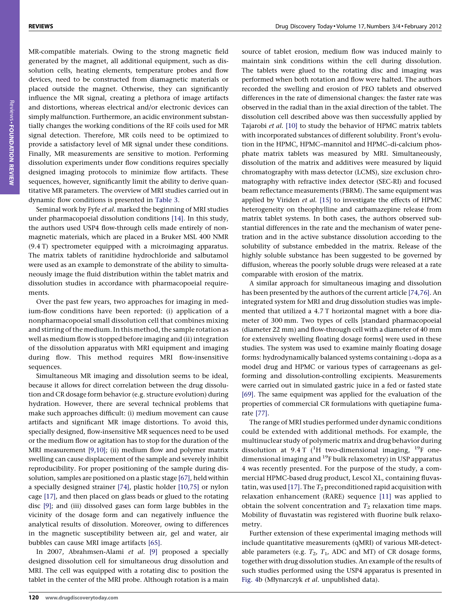MR-compatible materials. Owing to the strong magnetic field generated by the magnet, all additional equipment, such as dissolution cells, heating elements, temperature probes and flow devices, need to be constructed from diamagnetic materials or placed outside the magnet. Otherwise, they can significantly influence the MR signal, creating a plethora of image artifacts and distortions, whereas electrical and/or electronic devices can simply malfunction. Furthermore, an acidic environment substantially changes the working conditions of the RF coils used for MR signal detection. Therefore, MR coils need to be optimized to provide a satisfactory level of MR signal under these conditions. Finally, MR measurements are sensitive to motion. Performing dissolution experiments under flow conditions requires specially designed imaging protocols to minimize flow artifacts. These sequences, however, significantly limit the ability to derive quantitative MR parameters. The overview of MRI studies carried out in dynamic flow conditions is presented in [Table](#page-9-0) 3.

Seminal work by Fyfe et al. marked the beginning of MRI studies under pharmacopoeial dissolution conditions [\[14\].](#page-12-0) In this study, the authors used USP4 flow-through cells made entirely of nonmagnetic materials, which are placed in a Bruker MSL 400 NMR (9.4 T) spectrometer equipped with a microimaging apparatus. The matrix tablets of ranitidine hydrochloride and salbutamol were used as an example to demonstrate of the ability to simultaneously image the fluid distribution within the tablet matrix and dissolution studies in accordance with pharmacopoeial requirements.

Over the past few years, two approaches for imaging in medium-flow conditions have been reported: (i) application of a nonpharmacopoeial small dissolution cell that combines mixing and stirring of the medium. In this method, the sample rotation as well as medium flow is stopped before imaging and (ii) integration of the dissolution apparatus with MRI equipment and imaging during flow. This method requires MRI flow-insensitive sequences.

Simultaneous MR imaging and dissolution seems to be ideal, because it allows for direct correlation between the drug dissolution and CR dosage form behavior (e.g. structure evolution) during hydration. However, there are several technical problems that make such approaches difficult: (i) medium movement can cause artifacts and significant MR image distortions. To avoid this, specially designed, flow-insensitive MR sequences need to be used or the medium flow or agitation has to stop for the duration of the MRI measurement [\[9,10\]](#page-12-0); (ii) medium flow and polymer matrix swelling can cause displacement of the sample and severely inhibit reproducibility. For proper positioning of the sample during dissolution, samples are positioned on a plastic stage [\[67\]](#page-13-0), held within a specially designed strainer [\[74\]](#page-13-0), plastic holder [\[10,75\]](#page-12-0) or nylon cage [\[17\],](#page-12-0) and then placed on glass beads or glued to the rotating disc [\[9\]](#page-12-0); and (iii) dissolved gases can form large bubbles in the vicinity of the dosage form and can negatively influence the analytical results of dissolution. Moreover, owing to differences in the magnetic susceptibility between air, gel and water, air bubbles can cause MRI image artifacts [\[65\].](#page-13-0)

In 2007, Abrahmsen-Alami et al. [\[9\]](#page-12-0) proposed a specially designed dissolution cell for simultaneous drug dissolution and MRI. The cell was equipped with a rotating disc to position the tablet in the center of the MRI probe. Although rotation is a main

source of tablet erosion, medium flow was induced mainly to maintain sink conditions within the cell during dissolution. The tablets were glued to the rotating disc and imaging was performed when both rotation and flow were halted. The authors recorded the swelling and erosion of PEO tablets and observed differences in the rate of dimensional changes: the faster rate was observed in the radial than in the axial direction of the tablet. The dissolution cell described above was then successfully applied by Tajarobi et al. [\[10\]](#page-12-0) to study the behavior of HPMC matrix tablets with incorporated substances of different solubility. Front's evolution in the HPMC, HPMC–mannitol and HPMC–di-calcium phosphate matrix tablets was measured by MRI. Simultaneously, dissolution of the matrix and additives were measured by liquid chromatography with mass detector (LCMS), size exclusion chromatography with refractive index detector (SEC-RI) and focused beam reflectance measurements (FBRM). The same equipment was applied by Viriden et al. [\[15\]](#page-12-0) to investigate the effects of HPMC heterogeneity on theophylline and carbamazepine release from matrix tablet systems. In both cases, the authors observed substantial differences in the rate and the mechanism of water penetration and in the active substance dissolution according to the solubility of substance embedded in the matrix. Release of the highly soluble substance has been suggested to be governed by diffusion, whereas the poorly soluble drugs were released at a rate comparable with erosion of the matrix.

A similar approach for simultaneous imaging and dissolution has been presented by the authors of the current article [\[74,76\]](#page-13-0). An integrated system for MRI and drug dissolution studies was implemented that utilized a 4.7 T horizontal magnet with a bore diameter of 300 mm. Two types of cells [standard pharmacopoeial (diameter 22 mm) and flow-through cell with a diameter of 40 mm for extensively swelling floating dosage forms] were used in these studies. The system was used to examine mainly floating dosage forms: hydrodynamically balanced systems containing L-dopa as a model drug and HPMC or various types of carrageenans as gelforming and dissolution-controlling excipients. Measurements were carried out in simulated gastric juice in a fed or fasted state [\[69\]](#page-13-0). The same equipment was applied for the evaluation of the properties of commercial CR formulations with quetiapine fumarate [\[77\].](#page-13-0)

The range of MRI studies performed under dynamic conditions could be extended with additional methods. For example, the multinuclear study of polymeric matrix and drug behavior during dissolution at 9.4 T ( ${}^{1}$ H two-dimensional imaging,  ${}^{19}$ F onedimensional imaging and <sup>19</sup>F bulk relaxometry) in USP apparatus 4 was recently presented. For the purpose of the study, a commercial HPMC-based drug product, Lescol XL, containing fluvas-tatin, was used [\[17\]](#page-12-0). The  $T_2$  preconditioned rapid acquisition with relaxation enhancement (RARE) sequence [\[11\]](#page-12-0) was applied to obtain the solvent concentration and  $T_2$  relaxation time maps. Mobility of fluvastatin was registered with fluorine bulk relaxometry.

Further extension of these experimental imaging methods will include quantitative measurements (qMRI) of various MR-detectable parameters (e.g.  $T_2$ ,  $T_1$ , ADC and MT) of CR dosage forms, together with drug dissolution studies. An example of the results of such studies performed using the USP4 apparatus is presented in [Fig.](#page-5-0) 4b (Młynarczyk et al. unpublished data).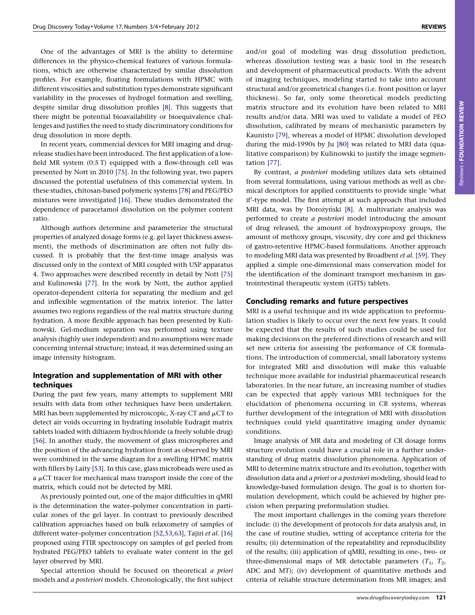One of the advantages of MRI is the ability to determine differences in the physico-chemical features of various formulations, which are otherwise characterized by similar dissolution profiles. For example, floating formulations with HPMC with different viscosities and substitution types demonstrate significant variability in the processes of hydrogel formation and swelling, despite similar drug dissolution profiles [\[8\]](#page-12-0). This suggests that there might be potential bioavailability or bioequivalence challenges and justifies the need to study discriminatory conditions for drug dissolution in more depth.

In recent years, commercial devices for MRI imaging and drugrelease studies have been introduced. The first application of a lowfield MR system (0.5 T) equipped with a flow-through cell was presented by Nott in 2010 [\[75\]](#page-13-0). In the following year, two papers discussed the potential usefulness of this commercial system. In these studies, chitosan-based polymeric systems [\[78\]](#page-13-0) and PEG/PEO mixtures were investigated [\[16\]](#page-12-0). These studies demonstrated the dependence of paracetamol dissolution on the polymer content ratio.

Although authors determine and parameterize the structural properties of analyzed dosage forms (e.g. gel layer thickness assessment), the methods of discrimination are often not fully discussed. It is probably that the first-time image analysis was discussed only in the context of MRI coupled with USP apparatus 4. Two approaches were described recently in detail by Nott [\[75\]](#page-13-0) and Kulinowski [\[77\]](#page-13-0). In the work by Nott, the author applied operator-dependent criteria for separating the medium and gel and inflexible segmentation of the matrix interior. The latter assumes two regions regardless of the real matrix structure during hydration. A more flexible approach has been presented by Kulinowski. Gel-medium separation was performed using texture analysis (highly user independent) and no assumptions were made concerning internal structure; instead, it was determined using an image intensity histogram.

### Integration and supplementation of MRI with other techniques

During the past few years, many attempts to supplement MRI results with data from other techniques have been undertaken. MRI has been supplemented by microscopic, X-ray CT and  $\mu$ CT to detect air voids occurring in hydrating insoluble Eudragit matrix tablets loaded with diltiazem hydrochloride (a freely soluble drug) [\[56\].](#page-13-0) In another study, the movement of glass microspheres and the position of the advancing hydration front as observed by MRI were combined in the same diagram for a swelling HPMC matrix with fillers by Laity [\[53\].](#page-13-0) In this case, glass microbeads were used as a  $\mu$ CT tracer for mechanical mass transport inside the core of the matrix, which could not be detected by MRI.

As previously pointed out, one of the major difficulties in qMRI is the determination the water–polymer concentration in particular zones of the gel layer. In contrast to previously described calibration approaches based on bulk relaxometry of samples of different water–polymer concentration [\[52,53,63\]](#page-13-0), Tajiri et al. [\[16\]](#page-12-0) proposed using FTIR spectroscopy on samples of gel peeled from hydrated PEG/PEO tablets to evaluate water content in the gel layer observed by MRI.

Special attention should be focused on theoretical a priori models and a posteriori models. Chronologically, the first subject

and/or goal of modeling was drug dissolution prediction, whereas dissolution testing was a basic tool in the research and development of pharmaceutical products. With the advent of imaging techniques, modeling started to take into account structural and/or geometrical changes (i.e. front position or layer thickness). So far, only some theoretical models predicting matrix structure and its evolution have been related to MRI results and/or data. MRI was used to validate a model of PEO dissolution, calibrated by means of mechanistic parameters by Kaunisto [\[79\],](#page-13-0) whereas a model of HPMC dissolution developed during the mid-1990s by Ju [\[80\]](#page-13-0) was related to MRI data (qualitative comparison) by Kulinowski to justify the image segmentation [\[77\].](#page-13-0)

By contrast, a posteriori modeling utilizes data sets obtained from several formulations, using various methods as well as chemical descriptors for applied constituents to provide single 'what if'-type model. The first attempt at such approach that included MRI data, was by Dorożyński [\[8\]](#page-12-0). A multivariate analysis was performed to create a posteriori model introducing the amount of drug released, the amount of hydroxypropoxy groups, the amount of methoxy groups, viscosity, dry core and gel thickness of gastro-retentive HPMC-based formulations. Another approach to modeling MRI data was presented by Broadbent et al. [\[59\]](#page-13-0). They applied a simple one-dimensional mass conservation model for the identification of the dominant transport mechanism in gastrointestinal therapeutic system (GITS) tablets.

#### Concluding remarks and future perspectives

MRI is a useful technique and its wide application to preformulation studies is likely to occur over the next few years. It could be expected that the results of such studies could be used for making decisions on the preferred directions of research and will set new criteria for assessing the performance of CR formulations. The introduction of commercial, small laboratory systems for integrated MRI and dissolution will make this valuable technique more available for industrial pharmaceutical research laboratories. In the near future, an increasing number of studies can be expected that apply various MRI techniques for the elucidation of phenomena occurring in CR systems, whereas further development of the integration of MRI with dissolution techniques could yield quantitative imaging under dynamic conditions.

Image analysis of MR data and modeling of CR dosage forms structure evolution could have a crucial role in a further understanding of drug matrix dissolution phenomena. Application of MRI to determine matrix structure and its evolution, together with dissolution data and a priori or a posteriori modeling, should lead to knowledge-based formulation design. The goal is to shorten formulation development, which could be achieved by higher precision when preparing preformulation studies.

The most important challenges in the coming years therefore include: (i) the development of protocols for data analysis and, in the case of routine studies, setting of acceptance criteria for the results; (ii) determination of the repeatability and reproducibility of the results; (iii) application of qMRI, resulting in one-, two- or three-dimensional maps of MR detectable parameters  $(T_1, T_2, T_3)$ ADC and MT); (iv) development of quantitative methods and criteria of reliable structure determination from MR images; and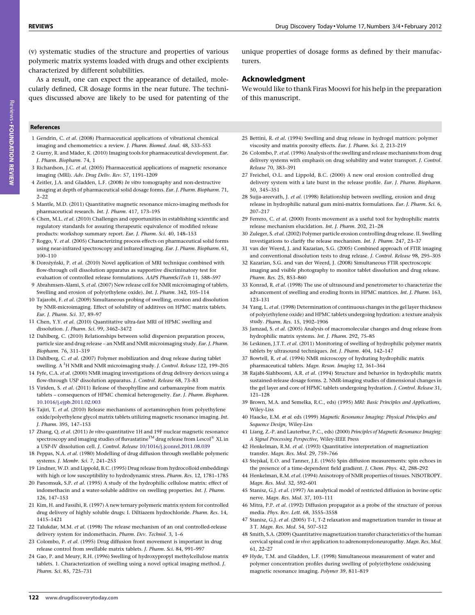<span id="page-12-0"></span>(v) systematic studies of the structure and properties of various polymeric matrix systems loaded with drugs and other excipients characterized by different solubilities.

As a result, one can expect the appearance of detailed, molecularly defined, CR dosage forms in the near future. The techniques discussed above are likely to be used for patenting of the

#### References

- 1 Gendrin, C. et al. (2008) Pharmaceutical applications of vibrational chemical imaging and chemometrics: a review. J. Pharm. Biomed. Anal. 48, 533–553
- 2 Gurny, R. and Mäder, K. (2010) Imaging tools for pharmaceutical development. Eur. J. Pharm. Biopharm. 74, 1
- 3 Richardson, J.C. et al. (2005) Pharmaceutical applications of magnetic resonance imaging (MRI). Adv. Drug Deliv. Rev. 57, 1191–1209
- 4 Zeitler, J.A. and Gladden, L.F. (2008) In vitro tomography and non-destructive imaging at depth of pharmaceutical solid dosage forms. Eur. J. Pharm. Biopharm. 71, 2–22
- 5 Mantle, M.D. (2011) Quantitative magnetic resonance micro-imaging methods for pharmaceutical research. Int. J. Pharm. 417, 173–195
- 6 Chen, M.L. et al. (2010) Challenges and opportunities in establishing scientific and regulatory standards for assuring therapeutic equivalence of modified release products: workshop summary report. Eur. J. Pharm. Sci. 40, 148–153
- 7 Roggo, Y. et al. (2005) Characterizing process effects on pharmaceutical solid forms using near-infrared spectroscopy and infrared imaging. Eur. J. Pharm. Biopharm. 61, 100–110
- 8 Dorożyński, P. et al. (2010) Novel application of MRI technique combined with flow-through cell dissolution apparatus as supportive discriminatory test for evaluation of controlled release formulations. AAPS PharmSciTech 11, 588–597
- 9 Abrahmsen-Alami, S. et al. (2007) New release cell for NMR microimaging of tablets. Swelling and erosion of poly(ethylene oxide). Int. J. Pharm. 342, 105–114
- 10 Tajarobi, F. et al. (2009) Simultaneous probing of swelling, erosion and dissolution by NMR-microimaging. Effect of solubility of additives on HPMC matrix tablets. Eur. J. Pharm. Sci. 37, 89–97
- 11 Chen, Y.Y. et al. (2010) Quantitative ultra-fast MRI of HPMC swelling and dissolution. J. Pharm. Sci. 99, 3462–3472
- 12 Dahlberg, C. (2010) Relationships between solid dispersion preparation process, particle size and drug release – an NMR and NMR microimaging study. Eur. J. Pharm. Biopharm. 76, 311–319
- 13 Dahlberg, C. et al. (2007) Polymer mobilization and drug release during tablet swelling. A <sup>1</sup>H NMR and NMR microimaging study. J. Control. Release 122, 199-205
- 14 Fyfe, C.A. et al. (2000) NMR imaging investigations of drug delivery devices using a flow-through USP dissolution apparatus. J. Control. Release 68, 73–83
- 15 Viriden, S. et al. (2011) Release of theophylline and carbamazepine from matrix tablets – consequences of HPMC chemical heterogeneity. Eur. J. Pharm. Biopharm. [10.1016/j.ejpb.2011.02.003](http://dx.doi.org/10.1016/j.ejpb.2011.02.003)
- 16 Tajiri, T. et al. (2010) Release mechanisms of acetaminophen from polyethylene oxide/polyethylene glycol matrix tablets utilizing magnetic resonance imaging. Int. J. Pharm. 395, 147–153
- 17 Zhang, Q. et al. (2011) In vitro quantitative 1H and 19F nuclear magnetic resonance spectroscopy and imaging studies of fluvastatine  $\rm T^{M}$  drug release from Lescol  $^{\rm (B)}$  XL in a USP-IV dissolution cell. J. Control. Release [10/1016/j.jconrel.2011.08.039](http://dx.doi.org/10/1016/j.jconrel.2011.08.039)
- 18 Peppas, N.A. et al. (1980) Modelling of drug diffusion through swellable polymeric systems. J. Membr. Sci. 7, 241–253
- 19 Lindner, W.D. and Lippold, B.C. (1995) Drug release from hydrocolloid embeddings with high or low susceptibility to hydrodynamic stress. Pharm. Res. 12, 1781–1785
- 20 Panomsuk, S.P. et al. (1995) A study of the hydrophilic cellulose matrix: effect of indomethacin and a water-soluble additive on swelling properties. Int. J. Pharm. 126, 147–153
- 21 Kim, H. and Fassihi, R. (1997) A new ternary polymeric matrix system for controlled drug delivery of highly soluble drugs: I. Diltiazem hydrochloride. Pharm. Res. 14, 1415–1421
- 22 Talukdar, M.M. et al. (1998) The release mechanism of an oral controlled-release delivery system for indomethacin. Pharm. Dev. Technol. 3, 1–6
- 23 Colombo, P. et al. (1995) Drug diffusion front movement is important in drug release control from swellable matrix tablets. J. Pharm. Sci. 84, 991–997
- 24 Gao, P. and Meury, R.H. (1996) Swelling of hydroxypropyl methylcellulose matrix tablets. 1. Characterization of swelling using a novel optical imaging method. J. Pharm. Sci. 85, 725–731

unique properties of dosage forms as defined by their manufacturers.

#### Acknowledgment

We would like to thank Firas Moosvi for his help in the preparation of this manuscript.

- 25 Bettini, R. et al. (1994) Swelling and drug release in hydrogel matrices: polymer viscosity and matrix porosity effects. Eur. J. Pharm. Sci. 2, 213–219
- 26 Colombo, P. et al. (1996) Analysis of the swelling and release mechanisms from drug delivery systems with emphasis on drug solubility and water transport. J. Control. Release 70, 383–391
- 27 Freichel, O.L. and Lippold, B.C. (2000) A new oral erosion controlled drug delivery system with a late burst in the release profile. Eur. J. Pharm. Biopharm. 50, 345–351
- 28 Sujja-areevath, J. et al. (1998) Relationship between swelling, erosion and drug release in hydrophilic natural gum mini-matrix formulations. Eur. J. Pharm. Sci. 6, 207–217
- 29 Ferrero, C. et al. (2000) Fronts movement as a useful tool for hydrophilic matrix release mechanism elucidation. Int. J. Pharm. 202, 21–28
- 30 Zuleger, S. et al. (2002) Polymer particle erosion controlling drug release. II. Swelling investigations to clarify the release mechanism. Int. J. Pharm. 247, 23–37
- 31 van der Weerd, J. and Kazarian, S.G. (2005) Combined approach of FTIR imaging and conventional dissolution tests to drug release. J. Control. Release 98, 295–305
- 32 Kazarian, S.G. and van der Weerd, J. (2008) Simultaneous FTIR spectroscopic imaging and visible photography to monitor tablet dissolution and drug release. Pharm. Res. 25, 853–860
- 33 Konrad, R. et al. (1998) The use of ultrasound and penetrometer to characterize the advancement of swelling and eroding fronts in HPMC matrices. Int. J. Pharm. 163, 123–131
- 34 Yang, L. et al. (1998) Determination of continuous changes in the gel layer thickness of poly(ethylene oxide) and HPMC tablets undergoing hydration: a texture analysis study. Pharm. Res. 15, 1902–1906
- 35 Jamzad, S. et al. (2005) Analysis of macromolecular changes and drug release from hydrophilic matrix systems. Int. J. Pharm. 292, 75–85
- 36 Leskinen, J.T.T. et al. (2011) Monitoring of swelling of hydrophilic polymer matrix tablets by ultrasound techniques. Int. J. Pharm. 404, 142–147
- 37 Bowtell, R. et al. (1994) NMR microscopy of hydrating hydrophilic matrix pharmaceutical tablets. Magn. Reson. Imaging 12, 361–364
- 38 Rajabi-Siahboomi, A.R. et al. (1994) Structure and behavior in hydrophilic matrix sustained-release dosage forms. 2. NMR-imaging studies of dimensional changes in the gel layer and core of HPMC tablets undergoing hydration. J. Control. Release 31, 121–128
- 39 Brown, M.A. and Semelka, R.C., eds) (1995) MRI: Basic Principles and Applications, Wiley-Liss
- 40 Haacke, E.M. et al. eds (1999) Magnetic Resonance Imaging: Physical Principles and Sequence Design, Wiley-Liss
- 41 Liang, Z.-P. and Lauterbur, P.C., eds) (2000) Principles of Magnetic Resonance Imaging: A Signal Processing Perspective, Wiley-IEEE Press
- 42 Henkelman, R.M. et al. (1993) Quantitative interpretation of magnetization transfer. Magn. Res. Med. 29, 759–766
- 43 Stejskal, E.O. and Tanner, J.E. (1965) Spin diffusion measurements: spin echoes in the presence of a time-dependent field gradient. J. Chem. Phys. 42, 288–292
- 44 Henkelman, R.M. et al. (1994) Anisotropy of NMR properties of tissues. NISOTROPY. Magn. Res. Med. 32, 592–601
- 45 Stanisz, G.J. et al. (1997) An analytical model of restricted diffusion in bovine optic nerve. Magn. Res. Med. 37, 103–111
- 46 Mitra, P.P. et al. (1992) Diffusion propagator as a probe of the structure of porous media. Phys. Rev. Lett. 68, 3555–3558
- 47 Stanisz, G.J. et al. (2005) T-1, T-2 relaxation and magnetization transfer in tissue at 3 T. Magn. Res. Med. 54, 507–512
- 48 Smith, S.A. (2009) Quantitative magnetization transfer characteristics of the human cervical spinal cord in vivo: application to adrenomyeloneuropathy. Magn. Res. Med. 61, 22–27
- 49 Hyde, T.M. and Gladden, L.F. (1998) Simultaneous measurement of water and polymer concentration profiles during swelling of poly(ethylene oxide)using magnetic resonance imaging. Polymer 39, 811–819